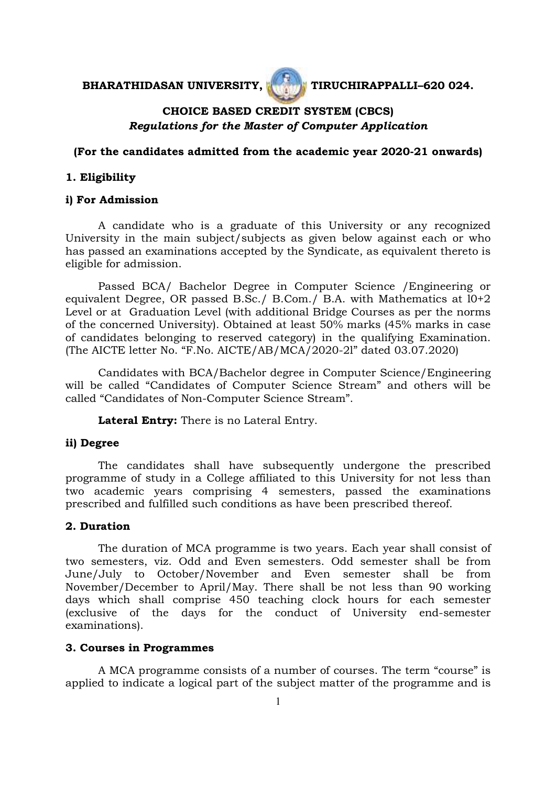## BHARATHIDASAN UNIVERSITY, **THE PROPERTY OF TIRUCHIRAPPALLI-620 024.**



# **CHOICE BASED CREDIT SYSTEM (CBCS)**  *Regulations for the Master of Computer Application*

#### **(For the candidates admitted from the academic year 2020-21 onwards)**

#### **1. Eligibility**

## **i) For Admission**

A candidate who is a graduate of this University or any recognized University in the main subject/subjects as given below against each or who has passed an examinations accepted by the Syndicate, as equivalent thereto is eligible for admission.

Passed BCA/ Bachelor Degree in Computer Science /Engineering or equivalent Degree, OR passed B.Sc./ B.Com./ B.A. with Mathematics at l0+2 Level or at Graduation Level (with additional Bridge Courses as per the norms of the concerned University). Obtained at least 50% marks (45% marks in case of candidates belonging to reserved category) in the qualifying Examination. (The AICTE letter No. "F.No. AICTE/AB/MCA/2020-2l" dated 03.07.2020)

Candidates with BCA/Bachelor degree in Computer Science/Engineering will be called "Candidates of Computer Science Stream" and others will be called "Candidates of Non-Computer Science Stream".

**Lateral Entry:** There is no Lateral Entry.

#### **ii) Degree**

The candidates shall have subsequently undergone the prescribed programme of study in a College affiliated to this University for not less than two academic years comprising 4 semesters, passed the examinations prescribed and fulfilled such conditions as have been prescribed thereof.

## **2. Duration**

 The duration of MCA programme is two years. Each year shall consist of two semesters, viz. Odd and Even semesters. Odd semester shall be from June/July to October/November and Even semester shall be from November/December to April/May. There shall be not less than 90 working days which shall comprise 450 teaching clock hours for each semester (exclusive of the days for the conduct of University end-semester examinations).

#### **3. Courses in Programmes**

A MCA programme consists of a number of courses. The term "course" is applied to indicate a logical part of the subject matter of the programme and is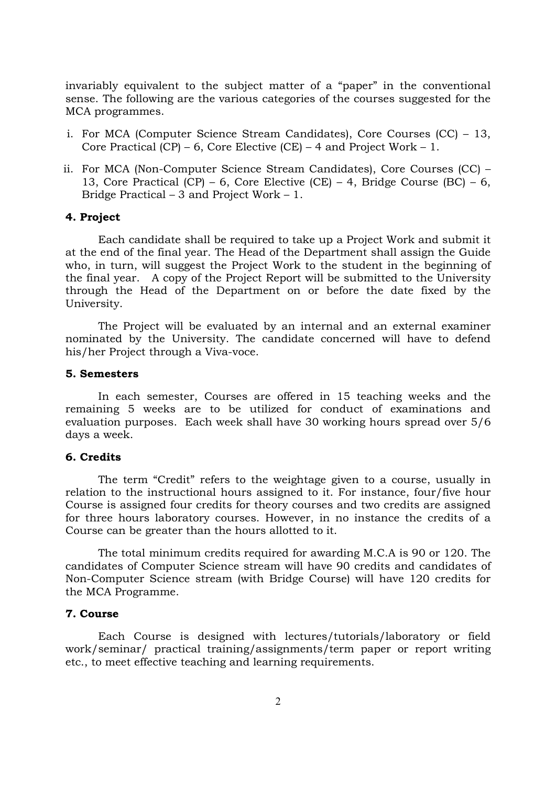invariably equivalent to the subject matter of a "paper" in the conventional sense. The following are the various categories of the courses suggested for the MCA programmes.

- i. For MCA (Computer Science Stream Candidates), Core Courses (CC) 13, Core Practical  $(CP)$  – 6, Core Elective  $(CE)$  – 4 and Project Work – 1.
- ii. For MCA (Non-Computer Science Stream Candidates), Core Courses (CC) 13, Core Practical (CP) – 6, Core Elective (CE) – 4, Bridge Course (BC) – 6, Bridge Practical – 3 and Project Work – 1.

#### **4. Project**

Each candidate shall be required to take up a Project Work and submit it at the end of the final year. The Head of the Department shall assign the Guide who, in turn, will suggest the Project Work to the student in the beginning of the final year. A copy of the Project Report will be submitted to the University through the Head of the Department on or before the date fixed by the University.

The Project will be evaluated by an internal and an external examiner nominated by the University. The candidate concerned will have to defend his/her Project through a Viva-voce.

#### **5. Semesters**

In each semester, Courses are offered in 15 teaching weeks and the remaining 5 weeks are to be utilized for conduct of examinations and evaluation purposes. Each week shall have 30 working hours spread over 5/6 days a week.

## **6. Credits**

The term "Credit" refers to the weightage given to a course, usually in relation to the instructional hours assigned to it. For instance, four/five hour Course is assigned four credits for theory courses and two credits are assigned for three hours laboratory courses. However, in no instance the credits of a Course can be greater than the hours allotted to it.

The total minimum credits required for awarding M.C.A is 90 or 120. The candidates of Computer Science stream will have 90 credits and candidates of Non-Computer Science stream (with Bridge Course) will have 120 credits for the MCA Programme.

#### **7. Course**

Each Course is designed with lectures/tutorials/laboratory or field work/seminar/ practical training/assignments/term paper or report writing etc., to meet effective teaching and learning requirements.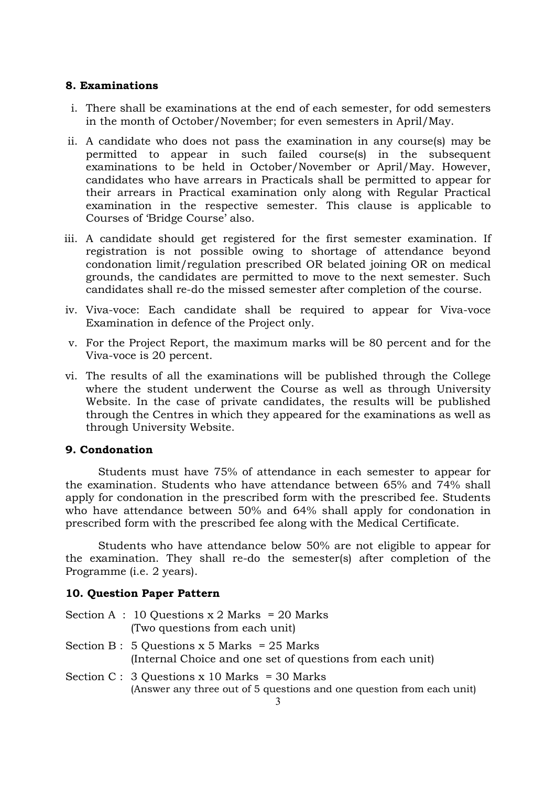#### **8. Examinations**

- i. There shall be examinations at the end of each semester, for odd semesters in the month of October/November; for even semesters in April/May.
- ii. A candidate who does not pass the examination in any course(s) may be permitted to appear in such failed course(s) in the subsequent examinations to be held in October/November or April/May. However, candidates who have arrears in Practicals shall be permitted to appear for their arrears in Practical examination only along with Regular Practical examination in the respective semester. This clause is applicable to Courses of 'Bridge Course' also.
- iii. A candidate should get registered for the first semester examination. If registration is not possible owing to shortage of attendance beyond condonation limit/regulation prescribed OR belated joining OR on medical grounds, the candidates are permitted to move to the next semester. Such candidates shall re-do the missed semester after completion of the course.
- iv. Viva-voce: Each candidate shall be required to appear for Viva-voce Examination in defence of the Project only.
- v. For the Project Report, the maximum marks will be 80 percent and for the Viva-voce is 20 percent.
- vi. The results of all the examinations will be published through the College where the student underwent the Course as well as through University Website. In the case of private candidates, the results will be published through the Centres in which they appeared for the examinations as well as through University Website.

## **9. Condonation**

Students must have 75% of attendance in each semester to appear for the examination. Students who have attendance between 65% and 74% shall apply for condonation in the prescribed form with the prescribed fee. Students who have attendance between 50% and 64% shall apply for condonation in prescribed form with the prescribed fee along with the Medical Certificate.

Students who have attendance below 50% are not eligible to appear for the examination. They shall re-do the semester(s) after completion of the Programme (i.e. 2 years).

## **10. Question Paper Pattern**

| Section A : 10 Questions $x$ 2 Marks = 20 Marks |                      |                                |  |  |  |
|-------------------------------------------------|----------------------|--------------------------------|--|--|--|
|                                                 |                      | (Two questions from each unit) |  |  |  |
| $\sim$                                          | $\sim$ $\sim$ $\sim$ |                                |  |  |  |

- Section B : 5 Questions  $x$  5 Marks = 25 Marks (Internal Choice and one set of questions from each unit)
- Section C : 3 Questions x 10 Marks = 30 Marks (Answer any three out of 5 questions and one question from each unit)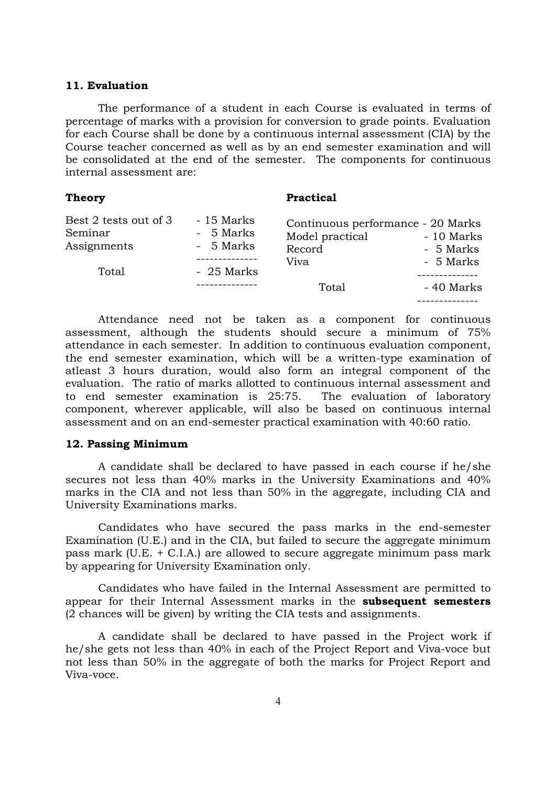#### **11. Evaluation**

The performance of a student in each Course is evaluated in terms of percentage of marks with a provision for conversion to grade points. Evaluation for each Course shall be done by a continuous internal assessment (CIA) by the Course teacher concerned as well as by an end semester examination and will be consolidated at the end of the semester. The components for continuous internal assessment are:

| <b>Theory</b>                                            |                                                    | <b>Practical</b>                                                       |                                      |
|----------------------------------------------------------|----------------------------------------------------|------------------------------------------------------------------------|--------------------------------------|
| Best 2 tests out of 3<br>Seminar<br>Assignments<br>Total | - 15 Marks<br>- 5 Marks<br>- 5 Marks<br>- 25 Marks | Continuous performance - 20 Marks<br>Model practical<br>Record<br>Viva | - 10 Marks<br>- 5 Marks<br>- 5 Marks |
|                                                          |                                                    | Total                                                                  | - 40 Marks                           |

Attendance need not be taken as a component for continuous assessment, although the students should secure a minimum of 75% attendance in each semester. In addition to continuous evaluation component, the end semester examination, which will be a written-type examination of atleast 3 hours duration, would also form an integral component of the evaluation. The ratio of marks allotted to continuous internal assessment and to end semester examination is 25:75. The evaluation of laboratory component, wherever applicable, will also be based on continuous internal assessment and on an end-semester practical examination with 40:60 ratio.

#### **12. Passing Minimum**

A candidate shall be declared to have passed in each course if he/she secures not less than 40% marks in the University Examinations and 40% marks in the CIA and not less than 50% in the aggregate, including CIA and University Examinations marks.

Candidates who have secured the pass marks in the end-semester Examination (U.E.) and in the CIA, but failed to secure the aggregate minimum pass mark (U.E. + C.I.A.) are allowed to secure aggregate minimum pass mark by appearing for University Examination only.

Candidates who have failed in the Internal Assessment are permitted to appear for their Internal Assessment marks in the **subsequent semesters** (2 chances will be given) by writing the CIA tests and assignments.

A candidate shall be declared to have passed in the Project work if he/she gets not less than 40% in each of the Project Report and Viva-voce but not less than 50% in the aggregate of both the marks for Project Report and Viva-voce.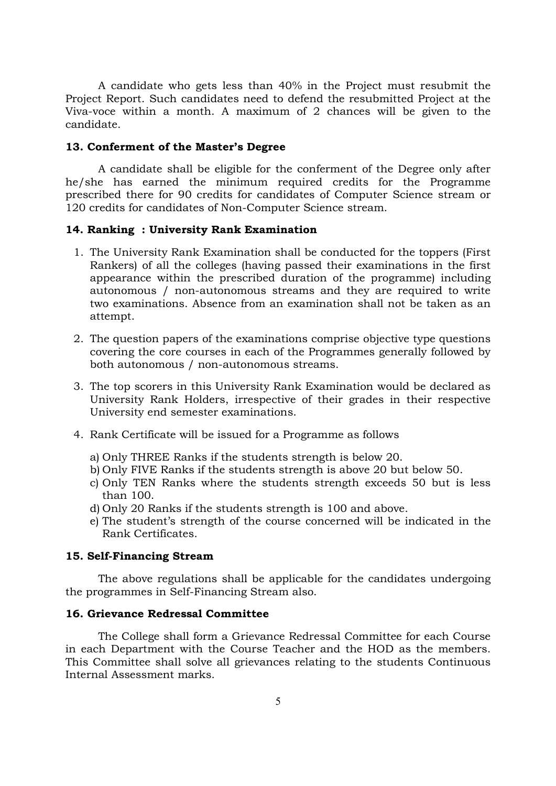A candidate who gets less than 40% in the Project must resubmit the Project Report. Such candidates need to defend the resubmitted Project at the Viva-voce within a month. A maximum of 2 chances will be given to the candidate.

#### **13. Conferment of the Master's Degree**

A candidate shall be eligible for the conferment of the Degree only after he/she has earned the minimum required credits for the Programme prescribed there for 90 credits for candidates of Computer Science stream or 120 credits for candidates of Non-Computer Science stream.

## **14. Ranking : University Rank Examination**

- 1. The University Rank Examination shall be conducted for the toppers (First Rankers) of all the colleges (having passed their examinations in the first appearance within the prescribed duration of the programme) including autonomous / non-autonomous streams and they are required to write two examinations. Absence from an examination shall not be taken as an attempt.
- 2. The question papers of the examinations comprise objective type questions covering the core courses in each of the Programmes generally followed by both autonomous / non-autonomous streams.
- 3. The top scorers in this University Rank Examination would be declared as University Rank Holders, irrespective of their grades in their respective University end semester examinations.
- 4. Rank Certificate will be issued for a Programme as follows
	- a) Only THREE Ranks if the students strength is below 20.
	- b) Only FIVE Ranks if the students strength is above 20 but below 50.
	- c) Only TEN Ranks where the students strength exceeds 50 but is less than 100.
	- d) Only 20 Ranks if the students strength is 100 and above.
	- e) The student's strength of the course concerned will be indicated in the Rank Certificates.

#### **15. Self-Financing Stream**

The above regulations shall be applicable for the candidates undergoing the programmes in Self-Financing Stream also.

## **16. Grievance Redressal Committee**

The College shall form a Grievance Redressal Committee for each Course in each Department with the Course Teacher and the HOD as the members. This Committee shall solve all grievances relating to the students Continuous Internal Assessment marks.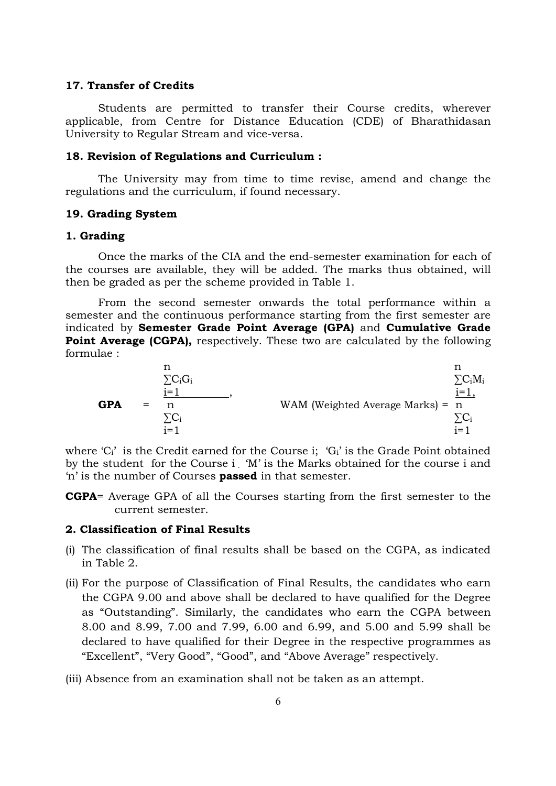#### **17. Transfer of Credits**

Students are permitted to transfer their Course credits, wherever applicable, from Centre for Distance Education (CDE) of Bharathidasan University to Regular Stream and vice-versa.

#### **18. Revision of Regulations and Curriculum :**

The University may from time to time revise, amend and change the regulations and the curriculum, if found necessary.

## **19. Grading System**

#### **1. Grading**

Once the marks of the CIA and the end-semester examination for each of the courses are available, they will be added. The marks thus obtained, will then be graded as per the scheme provided in Table 1.

From the second semester onwards the total performance within a semester and the continuous performance starting from the first semester are indicated by **Semester Grade Point Average (GPA)** and **Cumulative Grade Point Average (CGPA),** respectively. These two are calculated by the following formulae :

$$
\mathbf{GPA} = \begin{array}{ccc}\n\text{n} & \text{n} & \text{n} \\
\sum C_i G_i & \text{j=1} & \text{WAM (Weighted Average Marks)} = \text{n} \\
\sum C_i & \text{j=1} & \text{j=1}\n\end{array}
$$

where  ${}^{c}C_{i}$  is the Credit earned for the Course i;  ${}^{c}G_{i}$  is the Grade Point obtained by the student for the Course i . 'M' is the Marks obtained for the course i and 'n' is the number of Courses **passed** in that semester.

**CGPA**= Average GPA of all the Courses starting from the first semester to the current semester.

#### **2. Classification of Final Results**

- (i) The classification of final results shall be based on the CGPA, as indicated in Table 2.
- (ii) For the purpose of Classification of Final Results, the candidates who earn the CGPA 9.00 and above shall be declared to have qualified for the Degree as "Outstanding". Similarly, the candidates who earn the CGPA between 8.00 and 8.99, 7.00 and 7.99, 6.00 and 6.99, and 5.00 and 5.99 shall be declared to have qualified for their Degree in the respective programmes as "Excellent", "Very Good", "Good", and "Above Average" respectively.
- (iii) Absence from an examination shall not be taken as an attempt.